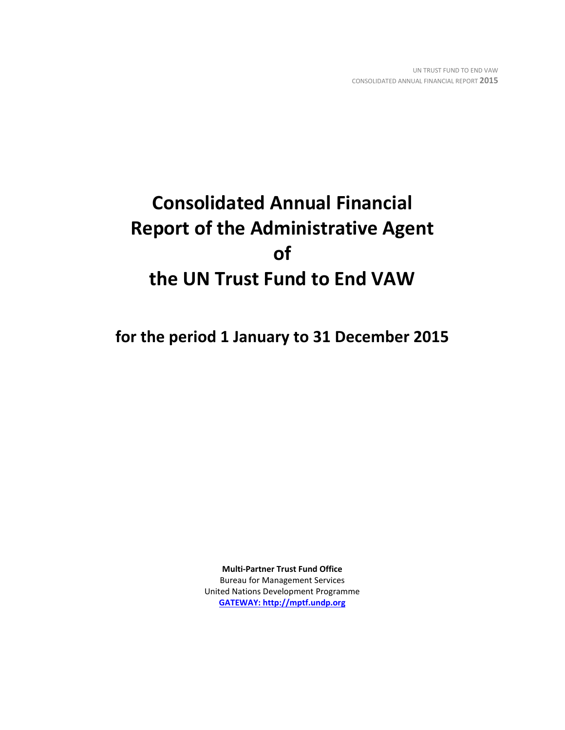# **Consolidated Annual Financial Report of the Administrative Agent of the UN Trust Fund to End VAW**

**for the period 1 January to 31 December 2015**

**Multi-Partner Trust Fund Office** Bureau for Management Services United Nations Development Programme **[GATEWAY: http://mptf.undp.org](http://mptf.undp.org/)**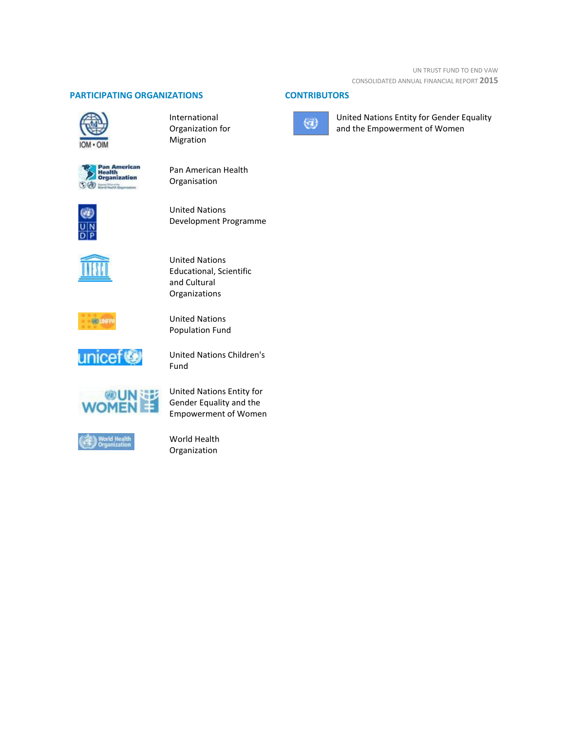# **PARTICIPATING ORGANIZATIONS CONTRIBUTORS**



International Organization for Migration



Pan American Health Organisation



United Nations Development Programme



United Nations Educational, Scientific and Cultural Organizations



United Nations Population Fund



United Nations Children's Fund



United Nations Entity for Gender Equality and the Empowerment of Women



World Health Organization



United Nations Entity for Gender Equality and the Empowerment of Women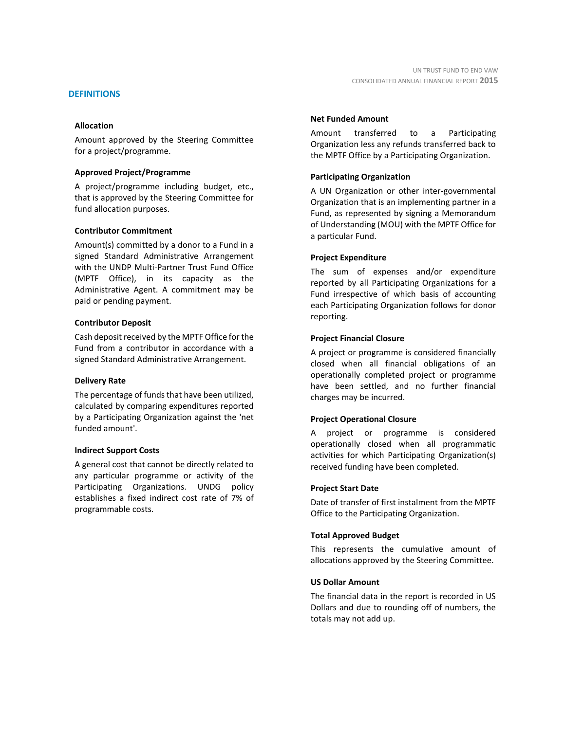# **DEFINITIONS**

# **Allocation**

Amount approved by the Steering Committee for a project/programme.

# **Approved Project/Programme**

A project/programme including budget, etc., that is approved by the Steering Committee for fund allocation purposes.

# **Contributor Commitment**

Amount(s) committed by a donor to a Fund in a signed Standard Administrative Arrangement with the UNDP Multi-Partner Trust Fund Office (MPTF Office), in its capacity as the Administrative Agent. A commitment may be paid or pending payment.

# **Contributor Deposit**

Cash deposit received by the MPTF Office for the Fund from a contributor in accordance with a signed Standard Administrative Arrangement.

# **Delivery Rate**

The percentage of funds that have been utilized, calculated by comparing expenditures reported by a Participating Organization against the 'net funded amount'.

# **Indirect Support Costs**

A general cost that cannot be directly related to any particular programme or activity of the Participating Organizations. UNDG policy establishes a fixed indirect cost rate of 7% of programmable costs.

# **Net Funded Amount**

Amount transferred to a Participating Organization less any refunds transferred back to the MPTF Office by a Participating Organization.

# **Participating Organization**

A UN Organization or other inter-governmental Organization that is an implementing partner in a Fund, as represented by signing a Memorandum of Understanding (MOU) with the MPTF Office for a particular Fund.

# **Project Expenditure**

The sum of expenses and/or expenditure reported by all Participating Organizations for a Fund irrespective of which basis of accounting each Participating Organization follows for donor reporting.

# **Project Financial Closure**

A project or programme is considered financially closed when all financial obligations of an operationally completed project or programme have been settled, and no further financial charges may be incurred.

# **Project Operational Closure**

A project or programme is considered operationally closed when all programmatic activities for which Participating Organization(s) received funding have been completed.

# **Project Start Date**

Date of transfer of first instalment from the MPTF Office to the Participating Organization.

# **Total Approved Budget**

This represents the cumulative amount of allocations approved by the Steering Committee.

# **US Dollar Amount**

The financial data in the report is recorded in US Dollars and due to rounding off of numbers, the totals may not add up.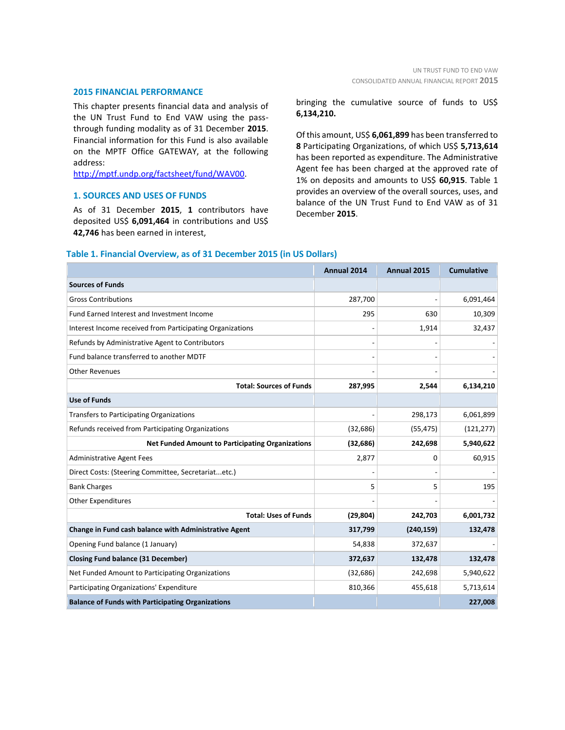#### **2015 FINANCIAL PERFORMANCE**

This chapter presents financial data and analysis of the UN Trust Fund to End VAW using the passthrough funding modality as of 31 December **2015**. Financial information for this Fund is also available on the MPTF Office GATEWAY, at the following address:

[http://mptf.undp.org/factsheet/fund/WAV00.](http://mptf.undp.org/factsheet/fund/WAV00)

# **1. SOURCES AND USES OF FUNDS**

As of 31 December **2015**, **1** contributors have deposited US\$ **6,091,464** in contributions and US\$ **42,746** has been earned in interest,

bringing the cumulative source of funds to US\$ **6,134,210.**

Of this amount, US\$ **6,061,899** has been transferred to **8** Participating Organizations, of which US\$ **5,713,614** has been reported as expenditure. The Administrative Agent fee has been charged at the approved rate of 1% on deposits and amounts to US\$ **60,915**. Table 1 provides an overview of the overall sources, uses, and balance of the UN Trust Fund to End VAW as of 31 December **2015**.

# **Table 1. Financial Overview, as of 31 December 2015 (in US Dollars)**

|                                                           | Annual 2014 | Annual 2015 | <b>Cumulative</b> |
|-----------------------------------------------------------|-------------|-------------|-------------------|
| <b>Sources of Funds</b>                                   |             |             |                   |
| <b>Gross Contributions</b>                                | 287,700     |             | 6,091,464         |
| Fund Earned Interest and Investment Income                | 295         | 630         | 10,309            |
| Interest Income received from Participating Organizations |             | 1,914       | 32,437            |
| Refunds by Administrative Agent to Contributors           |             |             |                   |
| Fund balance transferred to another MDTF                  |             |             |                   |
| <b>Other Revenues</b>                                     |             |             |                   |
| <b>Total: Sources of Funds</b>                            | 287,995     | 2,544       | 6,134,210         |
| <b>Use of Funds</b>                                       |             |             |                   |
| <b>Transfers to Participating Organizations</b>           |             | 298,173     | 6,061,899         |
| Refunds received from Participating Organizations         | (32, 686)   | (55, 475)   | (121, 277)        |
| <b>Net Funded Amount to Participating Organizations</b>   | (32, 686)   | 242,698     | 5,940,622         |
| <b>Administrative Agent Fees</b>                          | 2,877       | 0           | 60,915            |
| Direct Costs: (Steering Committee, Secretariatetc.)       |             |             |                   |
| <b>Bank Charges</b>                                       | 5           | 5           | 195               |
| <b>Other Expenditures</b>                                 |             |             |                   |
| <b>Total: Uses of Funds</b>                               | (29, 804)   | 242,703     | 6,001,732         |
| Change in Fund cash balance with Administrative Agent     | 317,799     | (240, 159)  | 132,478           |
| Opening Fund balance (1 January)                          | 54,838      | 372,637     |                   |
| <b>Closing Fund balance (31 December)</b>                 | 372,637     | 132,478     | 132,478           |
| Net Funded Amount to Participating Organizations          | (32, 686)   | 242,698     | 5,940,622         |
| Participating Organizations' Expenditure                  | 810,366     | 455,618     | 5,713,614         |
| <b>Balance of Funds with Participating Organizations</b>  |             |             | 227,008           |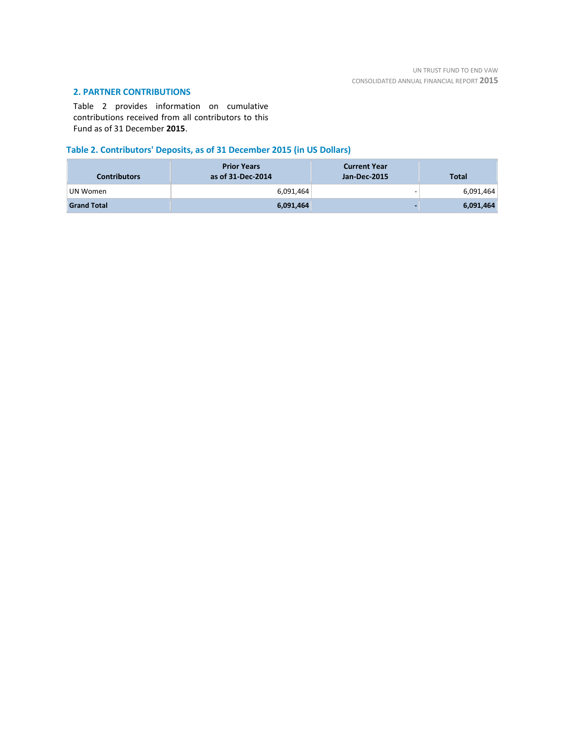# **2. PARTNER CONTRIBUTIONS**

Table 2 provides information on cumulative contributions received from all contributors to this Fund as of 31 December **2015**.

# **Table 2. Contributors' Deposits, as of 31 December 2015 (in US Dollars)**

| <b>Contributors</b> | <b>Prior Years</b><br>as of 31-Dec-2014 | <b>Current Year</b><br>Jan-Dec-2015 | <b>Total</b> |
|---------------------|-----------------------------------------|-------------------------------------|--------------|
| UN Women            | 6,091,464                               | -                                   | 6,091,464    |
| <b>Grand Total</b>  | 6,091,464                               |                                     | 6,091,464    |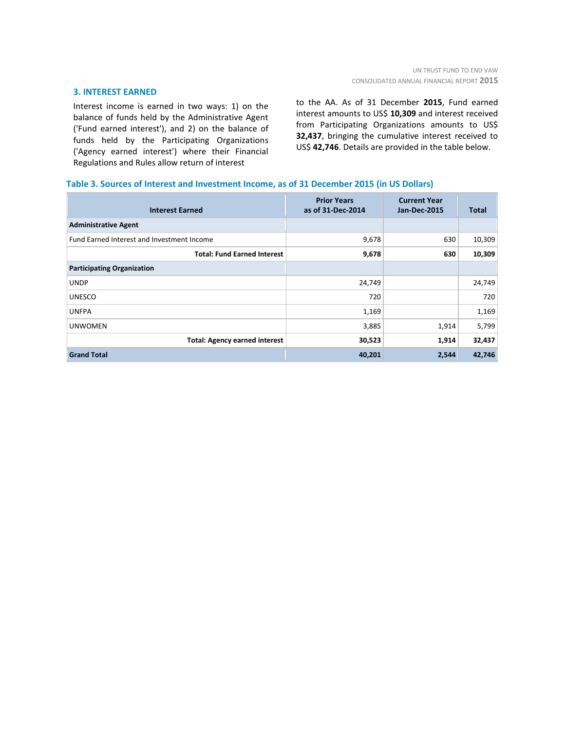# **3. INTEREST EARNED**

Interest income is earned in two ways: 1) on the balance of funds held by the Administrative Agent ('Fund earned interest'), and 2) on the balance of funds held by the Participating Organizations ('Agency earned interest') where their Financial Regulations and Rules allow return of interest

to the AA. As of 31 December **2015**, Fund earned interest amounts to US\$ **10,309** and interest received from Participating Organizations amounts to US\$ **32,437**, bringing the cumulative interest received to US\$ **42,746**. Details are provided in the table below.

# **Table 3. Sources of Interest and Investment Income, as of 31 December 2015 (in US Dollars)**

| <b>Interest Earned</b>                     | <b>Prior Years</b><br>as of 31-Dec-2014 | <b>Current Year</b><br><b>Jan-Dec-2015</b> | Total  |
|--------------------------------------------|-----------------------------------------|--------------------------------------------|--------|
| <b>Administrative Agent</b>                |                                         |                                            |        |
| Fund Earned Interest and Investment Income | 9,678                                   | 630                                        | 10,309 |
| <b>Total: Fund Earned Interest</b>         | 9,678                                   | 630                                        | 10,309 |
| <b>Participating Organization</b>          |                                         |                                            |        |
| <b>UNDP</b>                                | 24,749                                  |                                            | 24,749 |
| <b>UNESCO</b>                              | 720                                     |                                            | 720    |
| <b>UNFPA</b>                               | 1,169                                   |                                            | 1,169  |
| <b>UNWOMEN</b>                             | 3,885                                   | 1,914                                      | 5,799  |
| <b>Total: Agency earned interest</b>       | 30,523                                  | 1,914                                      | 32,437 |
| <b>Grand Total</b>                         | 40,201                                  | 2,544                                      | 42,746 |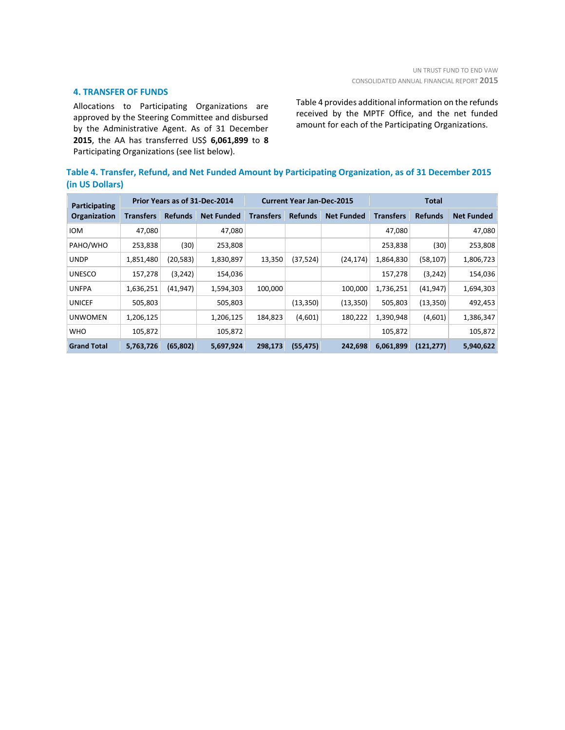# **4. TRANSFER OF FUNDS**

Allocations to Participating Organizations are approved by the Steering Committee and disbursed by the Administrative Agent. As of 31 December **2015**, the AA has transferred US\$ **6,061,899** to **8** Participating Organizations (see list below).

Table 4 provides additional information on the refunds received by the MPTF Office, and the net funded amount for each of the Participating Organizations.

|                 | Table 4. Transfer, Refund, and Net Funded Amount by Participating Organization, as of 31 December 2015 |  |
|-----------------|--------------------------------------------------------------------------------------------------------|--|
| (in US Dollars) |                                                                                                        |  |

| Participating      |                  |                | Prior Years as of 31-Dec-2014 | <b>Current Year Jan-Dec-2015</b> |                |                   | Total            |                |                   |
|--------------------|------------------|----------------|-------------------------------|----------------------------------|----------------|-------------------|------------------|----------------|-------------------|
| Organization       | <b>Transfers</b> | <b>Refunds</b> | <b>Net Funded</b>             | <b>Transfers</b>                 | <b>Refunds</b> | <b>Net Funded</b> | <b>Transfers</b> | <b>Refunds</b> | <b>Net Funded</b> |
| <b>IOM</b>         | 47,080           |                | 47,080                        |                                  |                |                   | 47,080           |                | 47,080            |
| PAHO/WHO           | 253,838          | (30)           | 253,808                       |                                  |                |                   | 253,838          | (30)           | 253,808           |
| <b>UNDP</b>        | 1,851,480        | (20,583)       | 1,830,897                     | 13,350                           | (37, 524)      | (24, 174)         | 1,864,830        | (58, 107)      | 1,806,723         |
| <b>UNESCO</b>      | 157,278          | (3, 242)       | 154,036                       |                                  |                |                   | 157,278          | (3, 242)       | 154,036           |
| <b>UNFPA</b>       | 1,636,251        | (41, 947)      | 1,594,303                     | 100,000                          |                | 100,000           | 1,736,251        | (41, 947)      | 1,694,303         |
| <b>UNICEF</b>      | 505,803          |                | 505,803                       |                                  | (13, 350)      | (13, 350)         | 505,803          | (13, 350)      | 492,453           |
| <b>UNWOMEN</b>     | 1,206,125        |                | 1,206,125                     | 184,823                          | (4,601)        | 180,222           | 1,390,948        | (4,601)        | 1,386,347         |
| <b>WHO</b>         | 105,872          |                | 105,872                       |                                  |                |                   | 105,872          |                | 105,872           |
| <b>Grand Total</b> | 5,763,726        | (65, 802)      | 5,697,924                     | 298,173                          | (55, 475)      | 242,698           | 6,061,899        | (121, 277)     | 5,940,622         |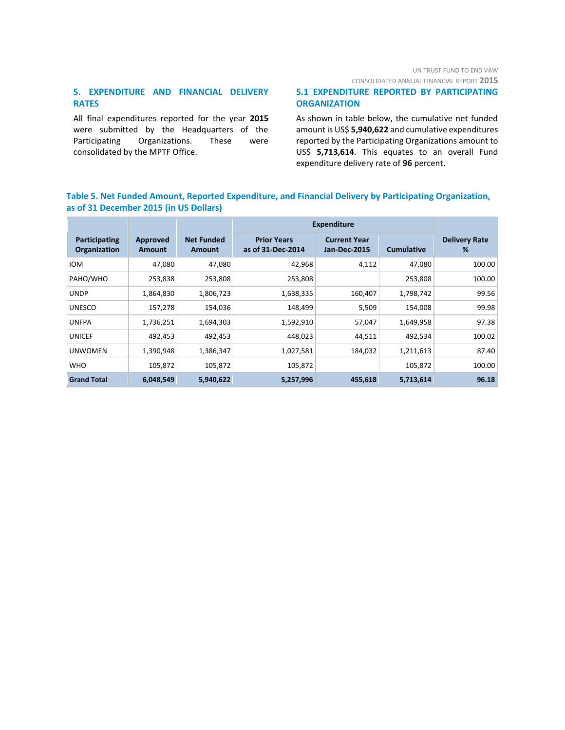# UN TRUST FUND TO END VAW

CONSOLIDATED ANNUAL FINANCIAL REPORT **2015**

# **5. EXPENDITURE AND FINANCIAL DELIVERY RATES**

All final expenditures reported for the year **2015** were submitted by the Headquarters of the Participating Organizations. These were consolidated by the MPTF Office.

# **5.1 EXPENDITURE REPORTED BY PARTICIPATING ORGANIZATION**

As shown in table below, the cumulative net funded amount is US\$ **5,940,622** and cumulative expenditures reported by the Participating Organizations amount to US\$ **5,713,614**. This equates to an overall Fund expenditure delivery rate of **96** percent.

# **Table 5. Net Funded Amount, Reported Expenditure, and Financial Delivery by Participating Organization, as of 31 December 2015 (in US Dollars)**

|                               |                    |                             | <b>Expenditure</b>                      |                                            |                   |                           |
|-------------------------------|--------------------|-----------------------------|-----------------------------------------|--------------------------------------------|-------------------|---------------------------|
| Participating<br>Organization | Approved<br>Amount | <b>Net Funded</b><br>Amount | <b>Prior Years</b><br>as of 31-Dec-2014 | <b>Current Year</b><br><b>Jan-Dec-2015</b> | <b>Cumulative</b> | <b>Delivery Rate</b><br>% |
| <b>IOM</b>                    | 47,080             | 47,080                      | 42,968                                  | 4,112                                      | 47,080            | 100.00                    |
| PAHO/WHO                      | 253,838            | 253,808                     | 253,808                                 |                                            | 253,808           | 100.00                    |
| <b>UNDP</b>                   | 1,864,830          | 1,806,723                   | 1,638,335                               | 160,407                                    | 1,798,742         | 99.56                     |
| <b>UNESCO</b>                 | 157,278            | 154,036                     | 148,499                                 | 5,509                                      | 154,008           | 99.98                     |
| <b>UNFPA</b>                  | 1,736,251          | 1,694,303                   | 1,592,910                               | 57,047                                     | 1,649,958         | 97.38                     |
| <b>UNICEF</b>                 | 492,453            | 492,453                     | 448,023                                 | 44,511                                     | 492,534           | 100.02                    |
| <b>UNWOMEN</b>                | 1,390,948          | 1,386,347                   | 1,027,581                               | 184,032                                    | 1,211,613         | 87.40                     |
| <b>WHO</b>                    | 105,872            | 105,872                     | 105,872                                 |                                            | 105,872           | 100.00                    |
| <b>Grand Total</b>            | 6,048,549          | 5,940,622                   | 5,257,996                               | 455,618                                    | 5,713,614         | 96.18                     |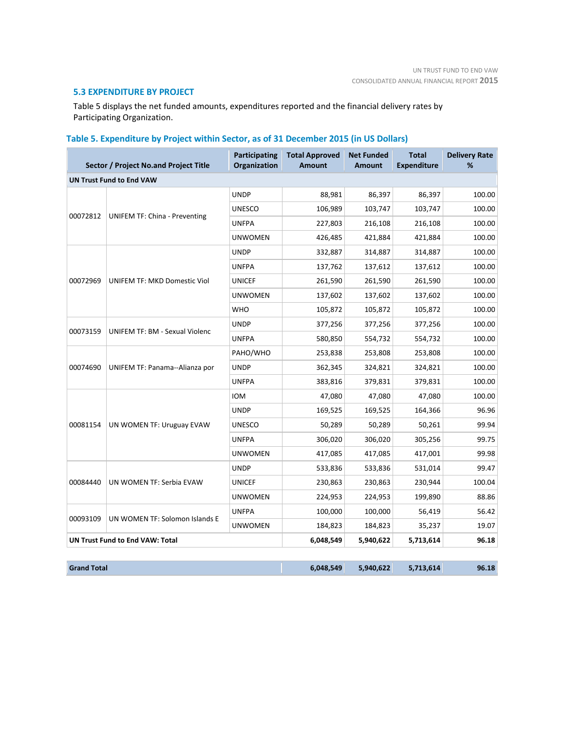# **5.3 EXPENDITURE BY PROJECT**

Table 5 displays the net funded amounts, expenditures reported and the financial delivery rates by Participating Organization.

# **Table 5. Expenditure by Project within Sector, as of 31 December 2015 (in US Dollars)**

|                    | Sector / Project No.and Project Title  | <b>Participating</b><br>Organization | <b>Total Approved</b><br><b>Amount</b> | <b>Net Funded</b><br><b>Amount</b> | <b>Total</b><br><b>Expenditure</b> | <b>Delivery Rate</b><br>℅ |
|--------------------|----------------------------------------|--------------------------------------|----------------------------------------|------------------------------------|------------------------------------|---------------------------|
|                    | <b>UN Trust Fund to End VAW</b>        |                                      |                                        |                                    |                                    |                           |
|                    |                                        | <b>UNDP</b>                          | 88,981                                 | 86,397                             | 86,397                             | 100.00                    |
|                    |                                        | <b>UNESCO</b>                        | 106,989                                | 103,747                            | 103,747                            | 100.00                    |
| 00072812           | <b>UNIFEM TF: China - Preventing</b>   | <b>UNFPA</b>                         | 227,803                                | 216,108                            | 216,108                            | 100.00                    |
|                    |                                        | <b>UNWOMEN</b>                       | 426,485                                | 421,884                            | 421,884                            | 100.00                    |
|                    |                                        | <b>UNDP</b>                          | 332,887                                | 314,887                            | 314,887                            | 100.00                    |
|                    |                                        | <b>UNFPA</b>                         | 137,762                                | 137,612                            | 137,612                            | 100.00                    |
| 00072969           | UNIFEM TF: MKD Domestic Viol           | <b>UNICEF</b>                        | 261,590                                | 261,590                            | 261,590                            | 100.00                    |
|                    |                                        | <b>UNWOMEN</b>                       | 137,602                                | 137,602                            | 137,602                            | 100.00                    |
|                    |                                        | <b>WHO</b>                           | 105,872                                | 105,872                            | 105,872                            | 100.00                    |
|                    |                                        | <b>UNDP</b>                          | 377,256                                | 377,256                            | 377,256                            | 100.00                    |
| 00073159           | <b>UNIFEM TF: BM - Sexual Violenc</b>  | <b>UNFPA</b>                         | 580,850                                | 554,732                            | 554,732                            | 100.00                    |
|                    | UNIFEM TF: Panama--Alianza por         | PAHO/WHO                             | 253,838                                | 253,808                            | 253,808                            | 100.00                    |
| 00074690           |                                        | <b>UNDP</b>                          | 362,345                                | 324,821                            | 324,821                            | 100.00                    |
|                    |                                        | <b>UNFPA</b>                         | 383,816                                | 379,831                            | 379,831                            | 100.00                    |
|                    |                                        | <b>IOM</b>                           | 47,080                                 | 47,080                             | 47,080                             | 100.00                    |
|                    |                                        | <b>UNDP</b>                          | 169,525                                | 169,525                            | 164,366                            | 96.96                     |
| 00081154           | UN WOMEN TF: Uruguay EVAW              | <b>UNESCO</b>                        | 50,289                                 | 50,289                             | 50,261                             | 99.94                     |
|                    |                                        | <b>UNFPA</b>                         | 306,020                                | 306,020                            | 305,256                            | 99.75                     |
|                    |                                        | <b>UNWOMEN</b>                       | 417,085                                | 417,085                            | 417,001                            | 99.98                     |
|                    |                                        | <b>UNDP</b>                          | 533,836                                | 533,836                            | 531,014                            | 99.47                     |
| 00084440           | UN WOMEN TF: Serbia EVAW               | <b>UNICEF</b>                        | 230,863                                | 230,863                            | 230,944                            | 100.04                    |
|                    |                                        | <b>UNWOMEN</b>                       | 224,953                                | 224,953                            | 199,890                            | 88.86                     |
|                    |                                        | <b>UNFPA</b>                         | 100,000                                | 100,000                            | 56,419                             | 56.42                     |
| 00093109           | UN WOMEN TF: Solomon Islands E         | <b>UNWOMEN</b>                       | 184,823                                | 184,823                            | 35,237                             | 19.07                     |
|                    | <b>UN Trust Fund to End VAW: Total</b> |                                      | 6,048,549                              | 5,940,622                          | 5,713,614                          | 96.18                     |
| <b>Grand Total</b> |                                        |                                      | 6,048,549                              | 5,940,622                          | 5,713,614                          | 96.18                     |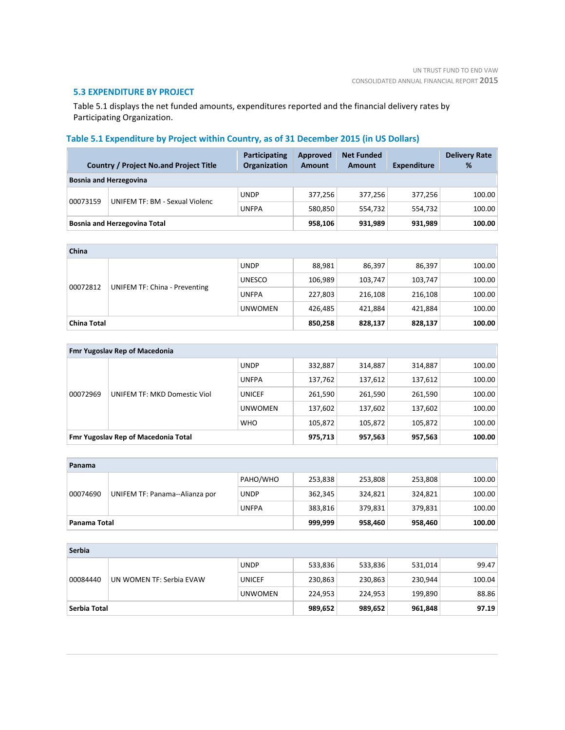# **5.3 EXPENDITURE BY PROJECT**

Table 5.1 displays the net funded amounts, expenditures reported and the financial delivery rates by Participating Organization.

# **Table 5.1 Expenditure by Project within Country, as of 31 December 2015 (in US Dollars)**

|          | <b>Country / Project No.and Project Title</b> | Participating<br><b>Organization</b> | Approved<br><b>Amount</b> | <b>Net Funded</b><br>Amount | <b>Expenditure</b> | <b>Delivery Rate</b><br>% |
|----------|-----------------------------------------------|--------------------------------------|---------------------------|-----------------------------|--------------------|---------------------------|
|          | <b>Bosnia and Herzegovina</b>                 |                                      |                           |                             |                    |                           |
|          | <b>UNIFEM TF: BM - Sexual Violenc</b>         | <b>UNDP</b>                          | 377.256                   | 377.256                     | 377,256            | 100.00                    |
| 00073159 |                                               | <b>UNFPA</b>                         | 580,850                   | 554.732                     | 554.732            | 100.00                    |
|          | <b>Bosnia and Herzegovina Total</b>           |                                      | 958,106                   | 931,989                     | 931,989            | 100.00                    |

| China              |                                      |                |         |         |         |        |
|--------------------|--------------------------------------|----------------|---------|---------|---------|--------|
|                    | <b>UNIFEM TF: China - Preventing</b> | <b>UNDP</b>    | 88,981  | 86,397  | 86,397  | 100.00 |
|                    |                                      | <b>UNESCO</b>  | 106,989 | 103,747 | 103,747 | 100.00 |
| 00072812           |                                      | <b>UNFPA</b>   | 227,803 | 216,108 | 216,108 | 100.00 |
|                    |                                      | <b>UNWOMEN</b> | 426,485 | 421,884 | 421,884 | 100.00 |
| <b>China Total</b> |                                      |                | 850,258 | 828,137 | 828,137 | 100.00 |

|                                     | <b>Fmr Yugoslav Rep of Macedonia</b> |                |         |         |         |        |  |
|-------------------------------------|--------------------------------------|----------------|---------|---------|---------|--------|--|
|                                     |                                      | <b>UNDP</b>    | 332,887 | 314,887 | 314,887 | 100.00 |  |
| 00072969                            |                                      | <b>UNFPA</b>   | 137,762 | 137,612 | 137,612 | 100.00 |  |
|                                     | <b>UNIFEM TF: MKD Domestic Viol</b>  | <b>UNICEF</b>  | 261,590 | 261,590 | 261,590 | 100.00 |  |
|                                     |                                      | <b>UNWOMEN</b> | 137,602 | 137,602 | 137,602 | 100.00 |  |
|                                     |                                      | <b>WHO</b>     | 105,872 | 105.872 | 105,872 | 100.00 |  |
| Fmr Yugoslav Rep of Macedonia Total |                                      | 975,713        | 957,563 | 957,563 | 100.00  |        |  |

| Panama                                     |              |              |         |         |         |        |
|--------------------------------------------|--------------|--------------|---------|---------|---------|--------|
| UNIFEM TF: Panama--Alianza por<br>00074690 |              | PAHO/WHO     | 253,838 | 253,808 | 253,808 | 100.00 |
|                                            |              | <b>UNDP</b>  | 362,345 | 324,821 | 324,821 | 100.00 |
|                                            |              | <b>UNFPA</b> | 383,816 | 379.831 | 379,831 | 100.00 |
|                                            | Panama Total |              |         | 958.460 | 958,460 | 100.00 |

| Serbia       |                          |                |         |         |         |        |
|--------------|--------------------------|----------------|---------|---------|---------|--------|
| 00084440     | UN WOMEN TF: Serbia EVAW | <b>UNDP</b>    | 533,836 | 533,836 | 531,014 | 99.47  |
|              |                          | <b>UNICEF</b>  | 230,863 | 230,863 | 230,944 | 100.04 |
|              |                          | <b>UNWOMEN</b> | 224,953 | 224,953 | 199,890 | 88.86  |
| Serbia Total |                          |                | 989,652 | 989,652 | 961,848 | 97.19  |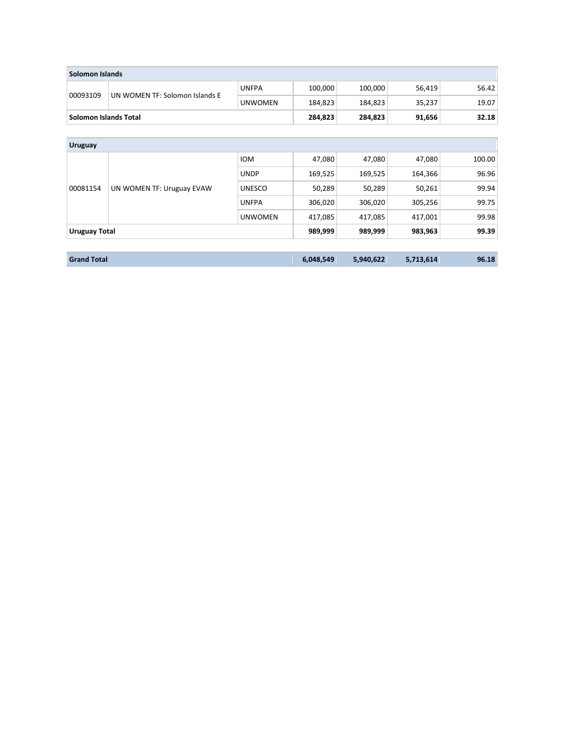| Solomon Islands              |                                |                |           |           |           |        |  |  |  |
|------------------------------|--------------------------------|----------------|-----------|-----------|-----------|--------|--|--|--|
|                              |                                | <b>UNFPA</b>   | 100,000   | 100,000   | 56,419    | 56.42  |  |  |  |
| 00093109                     | UN WOMEN TF: Solomon Islands E | <b>UNWOMEN</b> | 184,823   | 184,823   | 35,237    | 19.07  |  |  |  |
| <b>Solomon Islands Total</b> |                                |                | 284,823   | 284,823   | 91,656    | 32.18  |  |  |  |
|                              |                                |                |           |           |           |        |  |  |  |
| <b>Uruguay</b>               |                                |                |           |           |           |        |  |  |  |
|                              |                                | <b>IOM</b>     | 47,080    | 47,080    | 47,080    | 100.00 |  |  |  |
| 00081154                     | UN WOMEN TF: Uruguay EVAW      | <b>UNDP</b>    | 169,525   | 169,525   | 164,366   | 96.96  |  |  |  |
|                              |                                | <b>UNESCO</b>  | 50,289    | 50,289    | 50,261    | 99.94  |  |  |  |
|                              |                                | <b>UNFPA</b>   | 306,020   | 306,020   | 305,256   | 99.75  |  |  |  |
|                              |                                | <b>UNWOMEN</b> | 417,085   | 417,085   | 417,001   | 99.98  |  |  |  |
| <b>Uruguay Total</b>         |                                |                | 989,999   | 989,999   | 983,963   | 99.39  |  |  |  |
|                              |                                |                |           |           |           |        |  |  |  |
| <b>Grand Total</b>           |                                |                | 6,048,549 | 5,940,622 | 5,713,614 | 96.18  |  |  |  |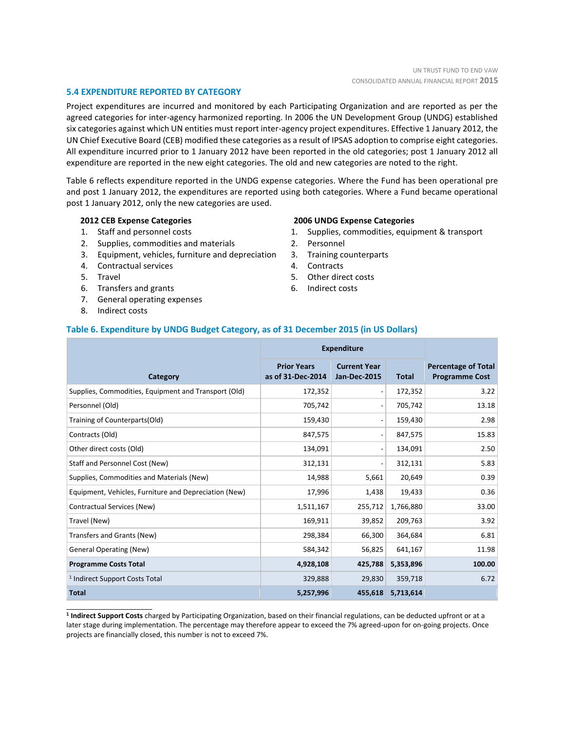# **5.4 EXPENDITURE REPORTED BY CATEGORY**

Project expenditures are incurred and monitored by each Participating Organization and are reported as per the agreed categories for inter-agency harmonized reporting. In 2006 the UN Development Group (UNDG) established six categories against which UN entities must report inter-agency project expenditures. Effective 1 January 2012, the UN Chief Executive Board (CEB) modified these categories as a result of IPSAS adoption to comprise eight categories. All expenditure incurred prior to 1 January 2012 have been reported in the old categories; post 1 January 2012 all expenditure are reported in the new eight categories. The old and new categories are noted to the right.

Table 6 reflects expenditure reported in the UNDG expense categories. Where the Fund has been operational pre and post 1 January 2012, the expenditures are reported using both categories. Where a Fund became operational post 1 January 2012, only the new categories are used.

# **2012 CEB Expense Categories**

- 1. Staff and personnel costs
- 2. Supplies, commodities and materials
- 3. Equipment, vehicles, furniture and depreciation
- 4. Contractual services
- 5. Travel
- 6. Transfers and grants
- 7. General operating expenses
- 8. Indirect costs

\_\_\_\_\_\_\_\_\_\_\_\_\_\_\_\_\_\_\_\_\_\_

#### **2006 UNDG Expense Categories**

- 1. Supplies, commodities, equipment & transport
- 2. Personnel
- 3. Training counterparts
- 4. Contracts
- 5. Other direct costs
- 6. Indirect costs

# **Table 6. Expenditure by UNDG Budget Category, as of 31 December 2015 (in US Dollars)**

|                                                       | <b>Expenditure</b>                      |                                            |              |                                                     |
|-------------------------------------------------------|-----------------------------------------|--------------------------------------------|--------------|-----------------------------------------------------|
| Category                                              | <b>Prior Years</b><br>as of 31-Dec-2014 | <b>Current Year</b><br><b>Jan-Dec-2015</b> | <b>Total</b> | <b>Percentage of Total</b><br><b>Programme Cost</b> |
| Supplies, Commodities, Equipment and Transport (Old)  | 172,352                                 | $\overline{\phantom{a}}$                   | 172,352      | 3.22                                                |
| Personnel (Old)                                       | 705,742                                 | $\overline{\phantom{a}}$                   | 705,742      | 13.18                                               |
| Training of Counterparts(Old)                         | 159,430                                 | $\qquad \qquad \blacksquare$               | 159,430      | 2.98                                                |
| Contracts (Old)                                       | 847,575                                 | $\overline{\phantom{a}}$                   | 847,575      | 15.83                                               |
| Other direct costs (Old)                              | 134,091                                 | $\overline{\phantom{a}}$                   | 134,091      | 2.50                                                |
| Staff and Personnel Cost (New)                        | 312,131                                 | $\qquad \qquad \blacksquare$               | 312,131      | 5.83                                                |
| Supplies, Commodities and Materials (New)             | 14,988                                  | 5,661                                      | 20,649       | 0.39                                                |
| Equipment, Vehicles, Furniture and Depreciation (New) | 17,996                                  | 1,438                                      | 19,433       | 0.36                                                |
| Contractual Services (New)                            | 1,511,167                               | 255,712                                    | 1,766,880    | 33.00                                               |
| Travel (New)                                          | 169,911                                 | 39,852                                     | 209,763      | 3.92                                                |
| Transfers and Grants (New)                            | 298,384                                 | 66,300                                     | 364,684      | 6.81                                                |
| <b>General Operating (New)</b>                        | 584,342                                 | 56,825                                     | 641,167      | 11.98                                               |
| <b>Programme Costs Total</b>                          | 4,928,108                               | 425,788                                    | 5,353,896    | 100.00                                              |
| <sup>1</sup> Indirect Support Costs Total             | 329,888                                 | 29,830                                     | 359,718      | 6.72                                                |
| <b>Total</b>                                          | 5,257,996                               | 455,618                                    | 5,713,614    |                                                     |

**1 Indirect Support Costs** charged by Participating Organization, based on their financial regulations, can be deducted upfront or at a later stage during implementation. The percentage may therefore appear to exceed the 7% agreed-upon for on-going projects. Once projects are financially closed, this number is not to exceed 7%.